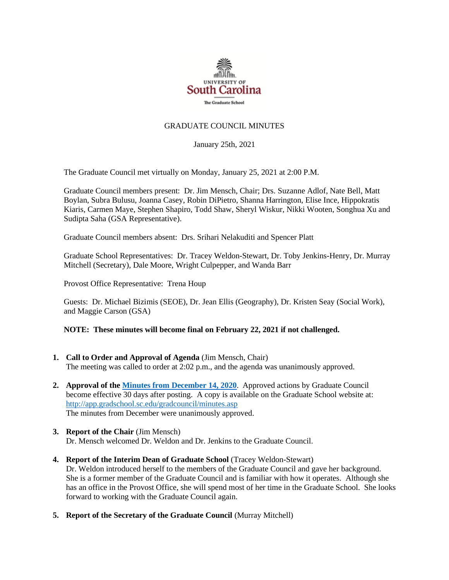

# GRADUATE COUNCIL MINUTES

January 25th, 2021

The Graduate Council met virtually on Monday, January 25, 2021 at 2:00 P.M.

Graduate Council members present: Dr. Jim Mensch, Chair; Drs. Suzanne Adlof, Nate Bell, Matt Boylan, Subra Bulusu, Joanna Casey, Robin DiPietro, Shanna Harrington, Elise Ince, Hippokratis Kiaris, Carmen Maye, Stephen Shapiro, Todd Shaw, Sheryl Wiskur, Nikki Wooten, Songhua Xu and Sudipta Saha (GSA Representative).

Graduate Council members absent: Drs. Srihari Nelakuditi and Spencer Platt

Graduate School Representatives: Dr. Tracey Weldon-Stewart, Dr. Toby Jenkins-Henry, Dr. Murray Mitchell (Secretary), Dale Moore, Wright Culpepper, and Wanda Barr

Provost Office Representative: Trena Houp

Guests: Dr. Michael Bizimis (SEOE), Dr. Jean Ellis (Geography), Dr. Kristen Seay (Social Work), and Maggie Carson (GSA)

#### **NOTE: These minutes will become final on February 22, 2021 if not challenged.**

- **1. Call to Order and Approval of Agenda** (Jim Mensch, Chair) The meeting was called to order at 2:02 p.m., and the agenda was unanimously approved.
- **2. Approval of th[e Minutes from December 14, 2020](file:///C:/Users/wandab/Local%20Documents/Graduate%20Council/GCMINUTES12.14.20%20MM.pdf)**. Approved actions by Graduate Council become effective 30 days after posting. A copy is available on the Graduate School website at: <http://app.gradschool.sc.edu/gradcouncil/minutes.asp> The minutes from December were unanimously approved.
- **3. Report of the Chair** (Jim Mensch) Dr. Mensch welcomed Dr. Weldon and Dr. Jenkins to the Graduate Council.
- **4. Report of the Interim Dean of Graduate School** (Tracey Weldon-Stewart) Dr. Weldon introduced herself to the members of the Graduate Council and gave her background. She is a former member of the Graduate Council and is familiar with how it operates. Although she has an office in the Provost Office, she will spend most of her time in the Graduate School. She looks forward to working with the Graduate Council again.
- **5. Report of the Secretary of the Graduate Council** (Murray Mitchell)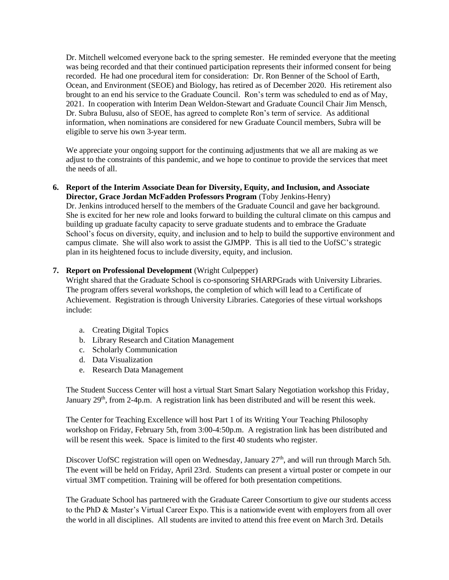Dr. Mitchell welcomed everyone back to the spring semester. He reminded everyone that the meeting was being recorded and that their continued participation represents their informed consent for being recorded. He had one procedural item for consideration: Dr. Ron Benner of the School of Earth, Ocean, and Environment (SEOE) and Biology, has retired as of December 2020. His retirement also brought to an end his service to the Graduate Council. Ron's term was scheduled to end as of May, 2021. In cooperation with Interim Dean Weldon-Stewart and Graduate Council Chair Jim Mensch, Dr. Subra Bulusu, also of SEOE, has agreed to complete Ron's term of service. As additional information, when nominations are considered for new Graduate Council members, Subra will be eligible to serve his own 3-year term.

We appreciate your ongoing support for the continuing adjustments that we all are making as we adjust to the constraints of this pandemic, and we hope to continue to provide the services that meet the needs of all.

#### **6. Report of the Interim Associate Dean for Diversity, Equity, and Inclusion, and Associate Director, Grace Jordan McFadden Professors Program** (Toby Jenkins-Henry)

Dr. Jenkins introduced herself to the members of the Graduate Council and gave her background. She is excited for her new role and looks forward to building the cultural climate on this campus and building up graduate faculty capacity to serve graduate students and to embrace the Graduate School's focus on diversity, equity, and inclusion and to help to build the supportive environment and campus climate. She will also work to assist the GJMPP. This is all tied to the UofSC's strategic plan in its heightened focus to include diversity, equity, and inclusion.

# **7. Report on Professional Development** (Wright Culpepper)

Wright shared that the Graduate School is co-sponsoring SHARPGrads with University Libraries. The program offers several workshops, the completion of which will lead to a Certificate of Achievement. Registration is through University Libraries. Categories of these virtual workshops include:

- a. Creating Digital Topics
- b. Library Research and Citation Management
- c. Scholarly Communication
- d. Data Visualization
- e. Research Data Management

The Student Success Center will host a virtual Start Smart Salary Negotiation workshop this Friday, January 29<sup>th</sup>, from 2-4p.m. A registration link has been distributed and will be resent this week.

The Center for Teaching Excellence will host Part 1 of its Writing Your Teaching Philosophy workshop on Friday, February 5th, from 3:00-4:50p.m. A registration link has been distributed and will be resent this week. Space is limited to the first 40 students who register.

Discover UofSC registration will open on Wednesday, January 27<sup>th</sup>, and will run through March 5th. The event will be held on Friday, April 23rd. Students can present a virtual poster or compete in our virtual 3MT competition. Training will be offered for both presentation competitions.

The Graduate School has partnered with the Graduate Career Consortium to give our students access to the PhD & Master's Virtual Career Expo. This is a nationwide event with employers from all over the world in all disciplines. All students are invited to attend this free event on March 3rd. Details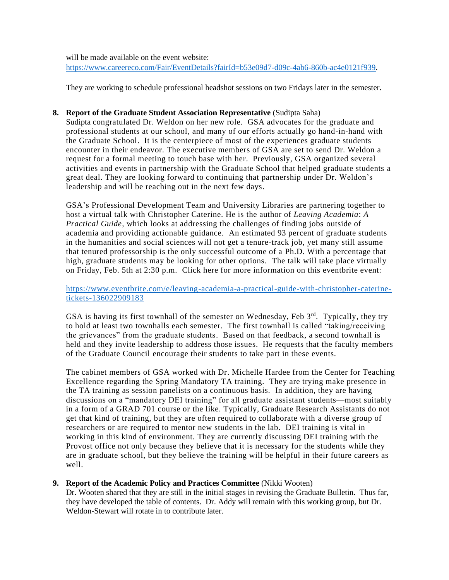will be made available on the event website: [https://www.careereco.com/Fair/EventDetails?fairId=b53e09d7-d09c-4ab6-860b-ac4e0121f939.](https://www.careereco.com/Fair/EventDetails?fairId=b53e09d7-d09c-4ab6-860b-ac4e0121f939)

They are working to schedule professional headshot sessions on two Fridays later in the semester.

## **8. Report of the Graduate Student Association Representative** (Sudipta Saha)

Sudipta congratulated Dr. Weldon on her new role. GSA advocates for the graduate and professional students at our school, and many of our efforts actually go hand-in-hand with the Graduate School. It is the centerpiece of most of the experiences graduate students encounter in their endeavor. The executive members of GSA are set to send Dr. Weldon a request for a formal meeting to touch base with her. Previously, GSA organized several activities and events in partnership with the Graduate School that helped graduate students a great deal. They are looking forward to continuing that partnership under Dr. Weldon's leadership and will be reaching out in the next few days.

GSA's Professional Development Team and University Libraries are partnering together to host a virtual talk with Christopher Caterine. He is the author of *Leaving Academia*: *A Practical Guide,* which looks at addressing the challenges of finding jobs outside of academia and providing actionable guidance. An estimated 93 percent of graduate students in the humanities and social sciences will not get a tenure-track job, yet many still assume that tenured professorship is the only successful outcome of a Ph.D. With a percentage that high, graduate students may be looking for other options. The talk will take place virtually on Friday, Feb. 5th at 2:30 p.m. Click here for more information on this eventbrite event:

[https://www.eventbrite.com/e/leaving-academia-a-practical-guide-with-christopher-caterine](https://www.eventbrite.com/e/leaving-academia-a-practical-guide-with-christopher-caterine-tickets-136022909183)[tickets-136022909183](https://www.eventbrite.com/e/leaving-academia-a-practical-guide-with-christopher-caterine-tickets-136022909183)

GSA is having its first townhall of the semester on Wednesday, Feb 3<sup>rd</sup>. Typically, they try to hold at least two townhalls each semester. The first townhall is called "taking/receiving the grievances" from the graduate students. Based on that feedback, a second townhall is held and they invite leadership to address those issues. He requests that the faculty members of the Graduate Council encourage their students to take part in these events.

The cabinet members of GSA worked with Dr. Michelle Hardee from the Center for Teaching Excellence regarding the Spring Mandatory TA training. They are trying make presence in the TA training as session panelists on a continuous basis. In addition, they are having discussions on a "mandatory DEI training" for all graduate assistant students—most suitably in a form of a GRAD 701 course or the like. Typically, Graduate Research Assistants do not get that kind of training, but they are often required to collaborate with a diverse group of researchers or are required to mentor new students in the lab. DEI training is vital in working in this kind of environment. They are currently discussing DEI training with the Provost office not only because they believe that it is necessary for the students while they are in graduate school, but they believe the training will be helpful in their future careers as well.

# **9. Report of the Academic Policy and Practices Committee** (Nikki Wooten)

Dr. Wooten shared that they are still in the initial stages in revising the Graduate Bulletin. Thus far, they have developed the table of contents. Dr. Addy will remain with this working group, but Dr. Weldon-Stewart will rotate in to contribute later.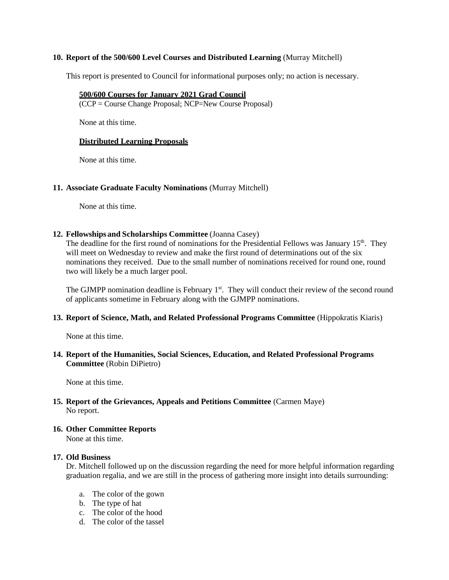## **10. Report of the 500/600 Level Courses and Distributed Learning** (Murray Mitchell)

This report is presented to Council for informational purposes only; no action is necessary.

#### **500/600 Courses for January 2021 Grad Council**

(CCP = Course Change Proposal; NCP=New Course Proposal)

None at this time.

## **Distributed Learning Proposals**

None at this time.

#### **11. Associate Graduate Faculty Nominations** (Murray Mitchell)

None at this time.

#### **12. Fellowships and Scholarships Committee** (Joanna Casey)

The deadline for the first round of nominations for the Presidential Fellows was January 15<sup>th</sup>. They will meet on Wednesday to review and make the first round of determinations out of the six nominations they received. Due to the small number of nominations received for round one, round two will likely be a much larger pool.

The GJMPP nomination deadline is February 1<sup>st</sup>. They will conduct their review of the second round of applicants sometime in February along with the GJMPP nominations.

#### **13. Report of Science, Math, and Related Professional Programs Committee** (Hippokratis Kiaris)

None at this time.

# **14. Report of the Humanities, Social Sciences, Education, and Related Professional Programs Committee** (Robin DiPietro)

None at this time.

#### **15. Report of the Grievances, Appeals and Petitions Committee** (Carmen Maye) No report.

# **16. Other Committee Reports**

None at this time.

#### **17. Old Business**

Dr. Mitchell followed up on the discussion regarding the need for more helpful information regarding graduation regalia, and we are still in the process of gathering more insight into details surrounding:

- a. The color of the gown
- b. The type of hat
- c. The color of the hood
- d. The color of the tassel